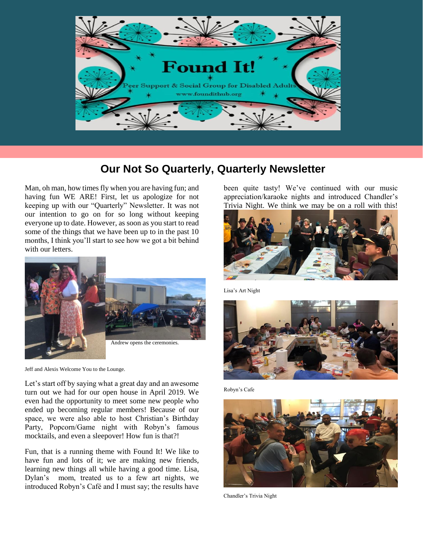

## **Our Not So Quarterly, Quarterly Newsletter**

Man, oh man, how times fly when you are having fun; and having fun WE ARE! First, let us apologize for not keeping up with our "Quarterly" Newsletter. It was not our intention to go on for so long without keeping everyone up to date. However, as soon as you start to read some of the things that we have been up to in the past 10 months, I think you'll start to see how we got a bit behind with our letters.



Jeff and Alexis Welcome You to the Lounge.

Let's start off by saying what a great day and an awesome turn out we had for our open house in April 2019. We even had the opportunity to meet some new people who ended up becoming regular members! Because of our space, we were also able to host Christian's Birthday Party, Popcorn/Game night with Robyn's famous mocktails, and even a sleepover! How fun is that?!

Fun, that is a running theme with Found It! We like to have fun and lots of it; we are making new friends, learning new things all while having a good time. Lisa, Dylan's mom, treated us to a few art nights, we introduced Robyn's Café and I must say; the results have

been quite tasty! We've continued with our music appreciation/karaoke nights and introduced Chandler's Trivia Night. We think we may be on a roll with this!



Lisa's Art Night



Robyn's Cafe



Chandler's Trivia Night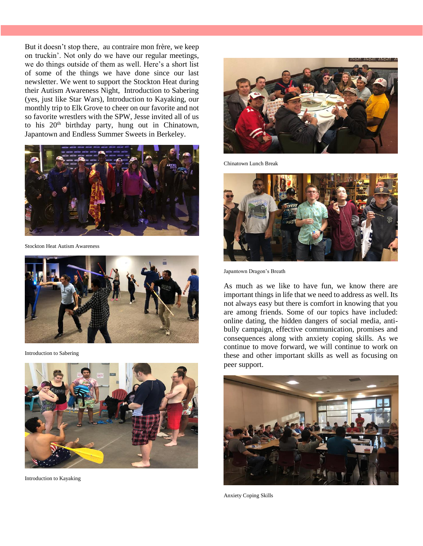But it doesn't stop there, au contraire mon frère, we keep on truckin'. Not only do we have our regular meetings, we do things outside of them as well. Here's a short list of some of the things we have done since our last newsletter. We went to support the Stockton Heat during their Autism Awareness Night, Introduction to Sabering (yes, just like Star Wars), Introduction to Kayaking, our monthly trip to Elk Grove to cheer on our favorite and not so favorite wrestlers with the SPW, Jesse invited all of us to his 20<sup>th</sup> birthday party, hung out in Chinatown, Japantown and Endless Summer Sweets in Berkeley.



Stockton Heat Autism Awareness



Introduction to Sabering



Introduction to Kayaking



Chinatown Lunch Break



Japantown Dragon's Breath

As much as we like to have fun, we know there are important things in life that we need to address as well. Its not always easy but there is comfort in knowing that you are among friends. Some of our topics have included: online dating, the hidden dangers of social media, antibully campaign, effective communication, promises and consequences along with anxiety coping skills. As we continue to move forward, we will continue to work on these and other important skills as well as focusing on peer support.



Anxiety Coping Skills